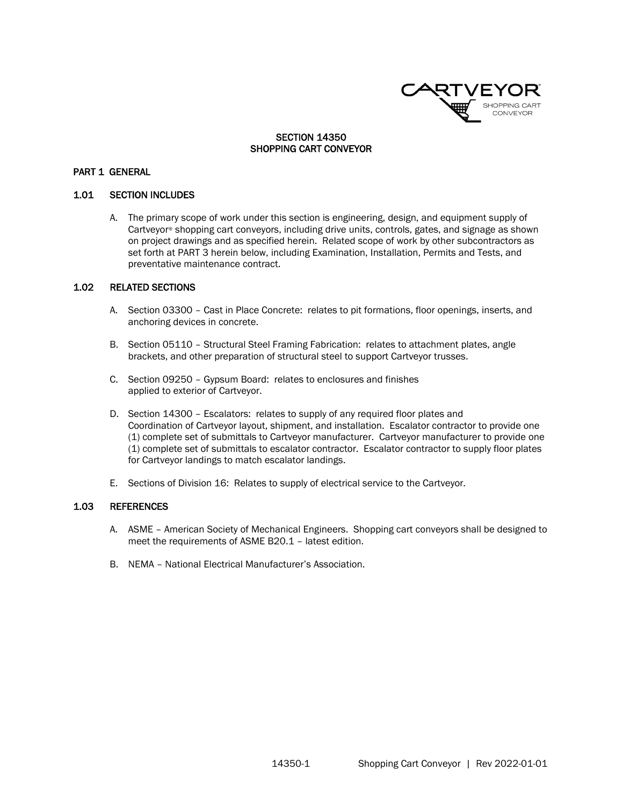

### SECTION 14350 SHOPPING CART CONVEYOR

#### PART 1 GENERAL

#### 1.01 SECTION INCLUDES

A. The primary scope of work under this section is engineering, design, and equipment supply of Cartveyor® shopping cart conveyors, including drive units, controls, gates, and signage as shown on project drawings and as specified herein. Related scope of work by other subcontractors as set forth at PART 3 herein below, including Examination, Installation, Permits and Tests, and preventative maintenance contract.

### 1.02 RELATED SECTIONS

- A. Section 03300 Cast in Place Concrete: relates to pit formations, floor openings, inserts, and anchoring devices in concrete.
- B. Section 05110 Structural Steel Framing Fabrication: relates to attachment plates, angle brackets, and other preparation of structural steel to support Cartveyor trusses.
- C. Section 09250 Gypsum Board: relates to enclosures and finishes applied to exterior of Cartveyor.
- D. Section 14300 Escalators: relates to supply of any required floor plates and Coordination of Cartveyor layout, shipment, and installation. Escalator contractor to provide one (1) complete set of submittals to Cartveyor manufacturer. Cartveyor manufacturer to provide one (1) complete set of submittals to escalator contractor. Escalator contractor to supply floor plates for Cartveyor landings to match escalator landings.
- E. Sections of Division 16: Relates to supply of electrical service to the Cartveyor.

#### 1.03 REFERENCES

- A. ASME American Society of Mechanical Engineers. Shopping cart conveyors shall be designed to meet the requirements of ASME B20.1 – latest edition.
- B. NEMA National Electrical Manufacturer's Association.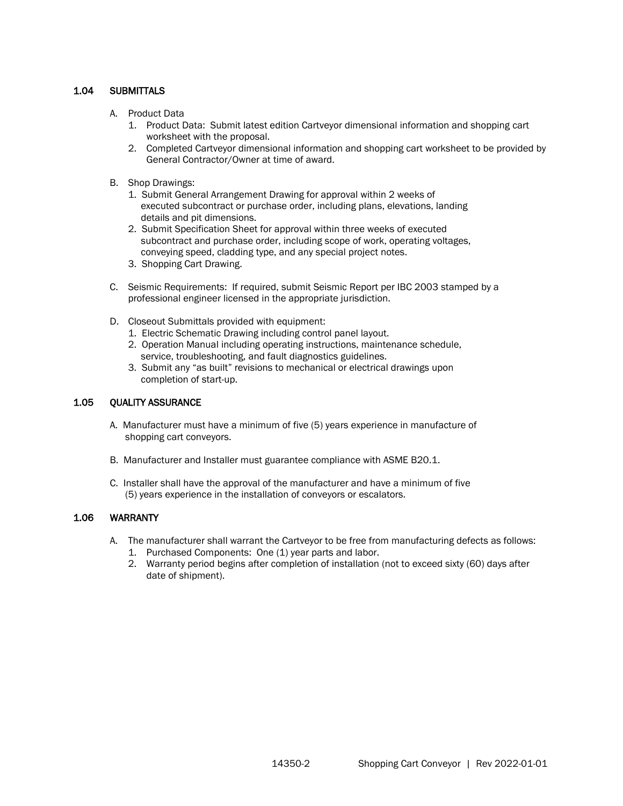# 1.04 SUBMITTALS

- A. Product Data
	- 1. Product Data: Submit latest edition Cartveyor dimensional information and shopping cart worksheet with the proposal.
	- 2. Completed Cartveyor dimensional information and shopping cart worksheet to be provided by General Contractor/Owner at time of award.
- B. Shop Drawings:
	- 1. Submit General Arrangement Drawing for approval within 2 weeks of executed subcontract or purchase order, including plans, elevations, landing details and pit dimensions.
	- 2. Submit Specification Sheet for approval within three weeks of executed subcontract and purchase order, including scope of work, operating voltages, conveying speed, cladding type, and any special project notes.
	- 3. Shopping Cart Drawing.
- C. Seismic Requirements: If required, submit Seismic Report per IBC 2003 stamped by a professional engineer licensed in the appropriate jurisdiction.
- D. Closeout Submittals provided with equipment:
	- 1. Electric Schematic Drawing including control panel layout.
	- 2. Operation Manual including operating instructions, maintenance schedule, service, troubleshooting, and fault diagnostics guidelines.
	- 3. Submit any "as built" revisions to mechanical or electrical drawings upon completion of start-up.

## 1.05 QUALITY ASSURANCE

- A. Manufacturer must have a minimum of five (5) years experience in manufacture of shopping cart conveyors.
- B. Manufacturer and Installer must guarantee compliance with ASME B20.1.
- C. Installer shall have the approval of the manufacturer and have a minimum of five (5) years experience in the installation of conveyors or escalators.

## 1.06 WARRANTY

- A. The manufacturer shall warrant the Cartveyor to be free from manufacturing defects as follows:
	- 1. Purchased Components: One (1) year parts and labor.
	- 2. Warranty period begins after completion of installation (not to exceed sixty (60) days after date of shipment).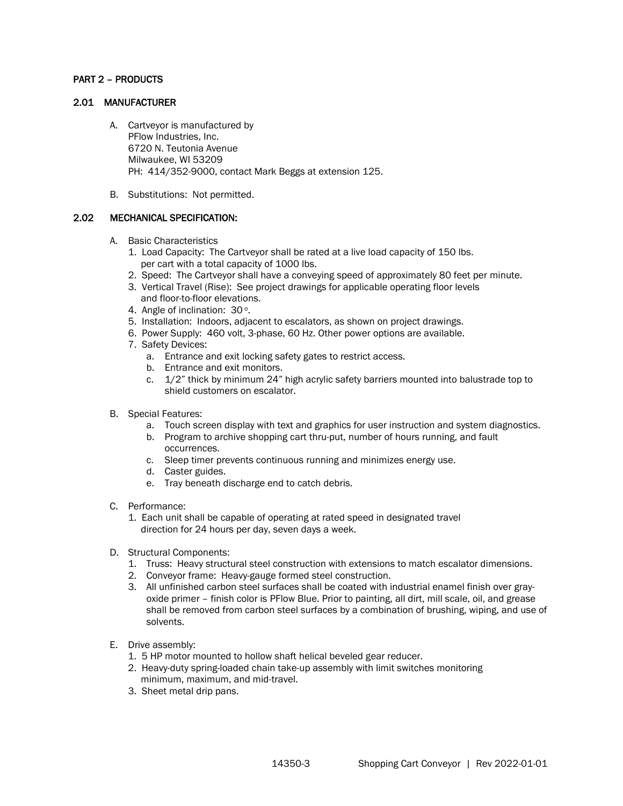## PART 2 – PRODUCTS

#### 2.01 MANUFACTURER

- A. Cartveyor is manufactured by PFlow Industries, Inc. 6720 N. Teutonia Avenue Milwaukee, WI 53209 PH: 414/352-9000, contact Mark Beggs at extension 125.
- B. Substitutions: Not permitted.

## 2.02 MECHANICAL SPECIFICATION:

- A. Basic Characteristics
	- 1. Load Capacity: The Cartveyor shall be rated at a live load capacity of 150 lbs. per cart with a total capacity of 1000 lbs.
	- 2. Speed: The Cartveyor shall have a conveying speed of approximately 80 feet per minute.
	- 3. Vertical Travel (Rise): See project drawings for applicable operating floor levels and floor-to-floor elevations.
	- 4. Angle of inclination: 30°.
	- 5. Installation: Indoors, adjacent to escalators, as shown on project drawings.
	- 6. Power Supply: 460 volt, 3-phase, 60 Hz. Other power options are available.
	- 7. Safety Devices:
		- a. Entrance and exit locking safety gates to restrict access.
		- b. Entrance and exit monitors.
		- c. 1/2" thick by minimum 24" high acrylic safety barriers mounted into balustrade top to shield customers on escalator.
- B. Special Features:
	- a. Touch screen display with text and graphics for user instruction and system diagnostics.
	- b. Program to archive shopping cart thru-put, number of hours running, and fault occurrences.
	- c. Sleep timer prevents continuous running and minimizes energy use.
	- d. Caster guides.
	- e. Tray beneath discharge end to catch debris.
- C. Performance:
	- 1. Each unit shall be capable of operating at rated speed in designated travel direction for 24 hours per day, seven days a week.
- D. Structural Components:
	- 1. Truss: Heavy structural steel construction with extensions to match escalator dimensions.
	- 2. Conveyor frame: Heavy-gauge formed steel construction.
	- 3. All unfinished carbon steel surfaces shall be coated with industrial enamel finish over grayoxide primer – finish color is PFlow Blue. Prior to painting, all dirt, mill scale, oil, and grease shall be removed from carbon steel surfaces by a combination of brushing, wiping, and use of solvents.
- E. Drive assembly:
	- 1. 5 HP motor mounted to hollow shaft helical beveled gear reducer.
	- 2. Heavy-duty spring-loaded chain take-up assembly with limit switches monitoring minimum, maximum, and mid-travel.
	- 3. Sheet metal drip pans.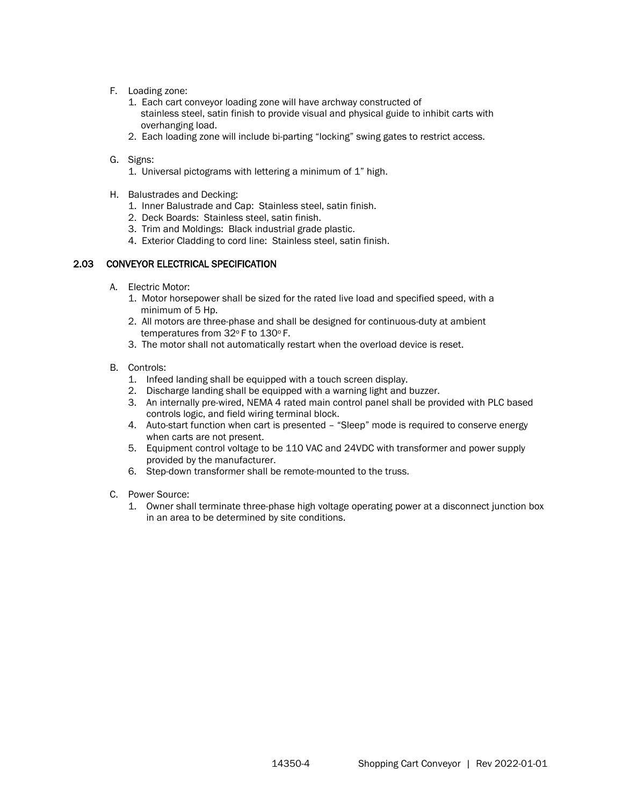- F. Loading zone:
	- 1. Each cart conveyor loading zone will have archway constructed of stainless steel, satin finish to provide visual and physical guide to inhibit carts with overhanging load.
	- 2. Each loading zone will include bi-parting "locking" swing gates to restrict access.
- G. Signs:
	- 1. Universal pictograms with lettering a minimum of 1" high.
- H. Balustrades and Decking:
	- 1. Inner Balustrade and Cap: Stainless steel, satin finish.
	- 2. Deck Boards: Stainless steel, satin finish.
	- 3. Trim and Moldings: Black industrial grade plastic.
	- 4. Exterior Cladding to cord line: Stainless steel, satin finish.

## 2.03 CONVEYOR ELECTRICAL SPECIFICATION

- A. Electric Motor:
	- 1. Motor horsepower shall be sized for the rated live load and specified speed, with a minimum of 5 Hp.
	- 2. All motors are three-phase and shall be designed for continuous-duty at ambient temperatures from 32°F to 130°F.
	- 3. The motor shall not automatically restart when the overload device is reset.
- B. Controls:
	- 1. Infeed landing shall be equipped with a touch screen display.
	- 2. Discharge landing shall be equipped with a warning light and buzzer.
	- 3. An internally pre-wired, NEMA 4 rated main control panel shall be provided with PLC based controls logic, and field wiring terminal block.
	- 4. Auto-start function when cart is presented "Sleep" mode is required to conserve energy when carts are not present.
	- 5. Equipment control voltage to be 110 VAC and 24VDC with transformer and power supply provided by the manufacturer.
	- 6. Step-down transformer shall be remote-mounted to the truss.
- C. Power Source:
	- 1. Owner shall terminate three-phase high voltage operating power at a disconnect junction box in an area to be determined by site conditions.